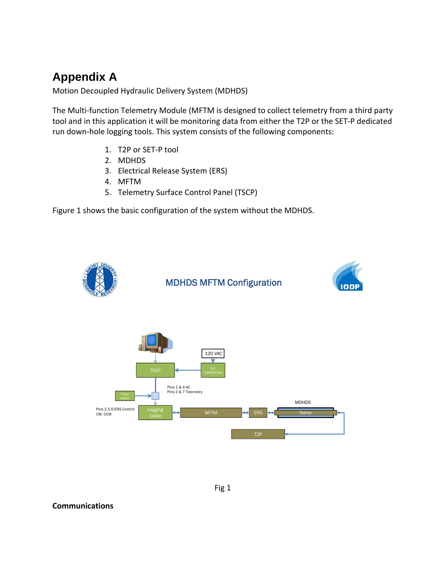# **Appendix A**

Motion Decoupled Hydraulic Delivery System (MDHDS)

The Multi-function Telemetry Module (MFTM is designed to collect telemetry from a third party tool and in this application it will be monitoring data from either the T2P or the SET‐P dedicated run down‐hole logging tools. This system consists of the following components:

- 1. T2P or SET‐P tool
- 2. MDHDS
- 3. Electrical Release System (ERS)
- 4. MFTM
- 5. Telemetry Surface Control Panel (TSCP)

Figure 1 shows the basic configuration of the system without the MDHDS.





## **Communications**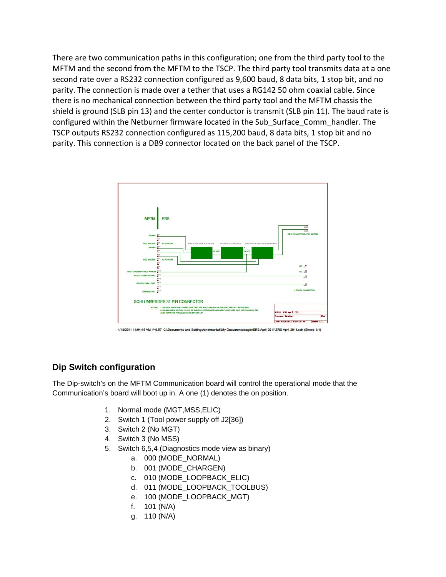There are two communication paths in this configuration; one from the third party tool to the MFTM and the second from the MFTM to the TSCP. The third party tool transmits data at a one second rate over a RS232 connection configured as 9,600 baud, 8 data bits, 1 stop bit, and no parity. The connection is made over a tether that uses a RG142 50 ohm coaxial cable. Since there is no mechanical connection between the third party tool and the MFTM chassis the shield is ground (SLB pin 13) and the center conductor is transmit (SLB pin 11). The baud rate is configured within the Netburner firmware located in the Sub\_Surface\_Comm\_handler. The TSCP outputs RS232 connection configured as 115,200 baud, 8 data bits, 1 stop bit and no parity. This connection is a DB9 connector located on the back panel of the TSCP.



4/18/2011 11:04:45 AM f=0.57 C:\Documents and Settings\chetmaniak\My Documents\eagle\ERS April 2011\ERS April 2011.sch (Sheet: 1/1)

## **Dip Switch configuration**

The Dip-switch's on the MFTM Communication board will control the operational mode that the Communication's board will boot up in. A one (1) denotes the on position.

- 1. Normal mode (MGT,MSS,ELIC)
- 2. Switch 1 (Tool power supply off J2[36])
- 3. Switch 2 (No MGT)
- 4. Switch 3 (No MSS)
- 5. Switch 6,5,4 (Diagnostics mode view as binary)
	- a. 000 (MODE\_NORMAL)
	- b. 001 (MODE\_CHARGEN)
	- c. 010 (MODE\_LOOPBACK\_ELIC)
	- d. 011 (MODE\_LOOPBACK\_TOOLBUS)
	- e. 100 (MODE\_LOOPBACK\_MGT)
	- f. 101 (N/A)
	- g. 110 (N/A)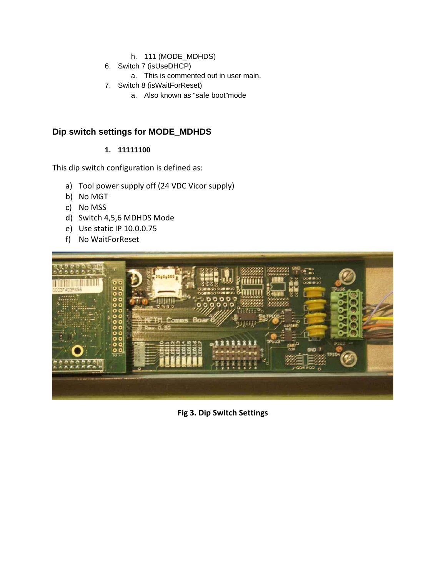- h. 111 (MODE\_MDHDS)
- 6. Switch 7 (isUseDHCP)
	- a. This is commented out in user main.
- 7. Switch 8 (isWaitForReset)
	- a. Also known as "safe boot"mode

## **Dip switch settings for MODE\_MDHDS**

## **1. 11111100**

This dip switch configuration is defined as:

- a) Tool power supply off (24 VDC Vicor supply)
- b) No MGT
- c) No MSS
- d) Switch 4,5,6 MDHDS Mode
- e) Use static IP 10.0.0.75
- f) No WaitForReset



**Fig 3. Dip Switch Settings**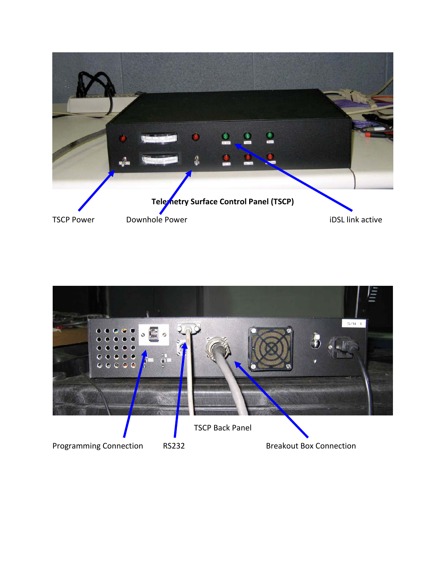

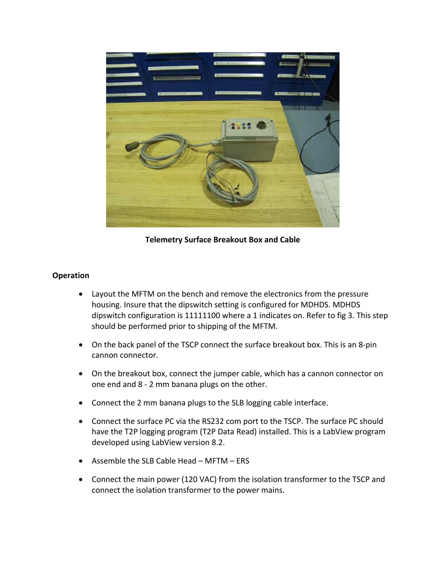

**Telemetry Surface Breakout Box and Cable**

## **Operation**

- Layout the MFTM on the bench and remove the electronics from the pressure housing. Insure that the dipswitch setting is configured for MDHDS. MDHDS dipswitch configuration is 11111100 where a 1 indicates on. Refer to fig 3. This step should be performed prior to shipping of the MFTM.
- On the back panel of the TSCP connect the surface breakout box. This is an 8-pin cannon connector.
- On the breakout box, connect the jumper cable, which has a cannon connector on one end and 8 ‐ 2 mm banana plugs on the other.
- Connect the 2 mm banana plugs to the SLB logging cable interface.
- Connect the surface PC via the RS232 com port to the TSCP. The surface PC should have the T2P logging program (T2P Data Read) installed. This is a LabView program developed using LabView version 8.2.
- Assemble the SLB Cable Head MFTM ERS
- Connect the main power (120 VAC) from the isolation transformer to the TSCP and connect the isolation transformer to the power mains.